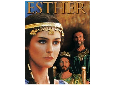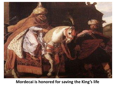

### **Mordecai is honored for saving the King's life**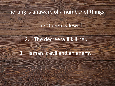The king is unaware of a number of things:

## 1. The Queen is Jewish.

## 2. The decree will kill her.

### 3. Haman is evil and an enemy.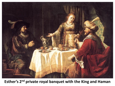

**Esther's 2nd private royal banquet with the King and Haman**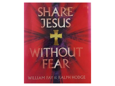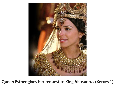

**Queen Esther gives her request to King Ahasuerus (Xerxes 1)**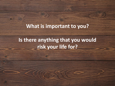## **What is important to you?**

# **Is there anything that you would risk your life for?**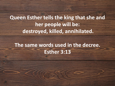**Queen Esther tells the king that she and her people will be: destroyed, killed, annihilated.**

## **The same words used in the decree. Esther 3:13**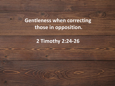**Gentleness when correcting those in opposition.**

**2 Timothy 2:24-26**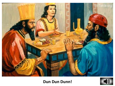

#### **Dun Dun Dunn!**

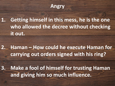

**1. Getting himself in this mess, he is the one who allowed the decree without checking it out.**

**2. Haman – How could he execute Haman for carrying out orders signed with his ring?**

**3. Make a fool of himself for trusting Haman and giving him so much influence.**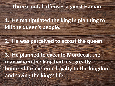## **Three capital offenses against Haman:**

**1. He manipulated the king in planning to kill the queen's people.** 

**2. He was perceived to accost the queen.** 

**3. He planned to execute Mordecai, the man whom the king had just greatly honored for extreme loyalty to the kingdom and saving the king's life.**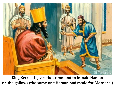

**King Xerxes 1 gives the command to impale Haman on the gallows (the same one Haman had made for Mordecai)**